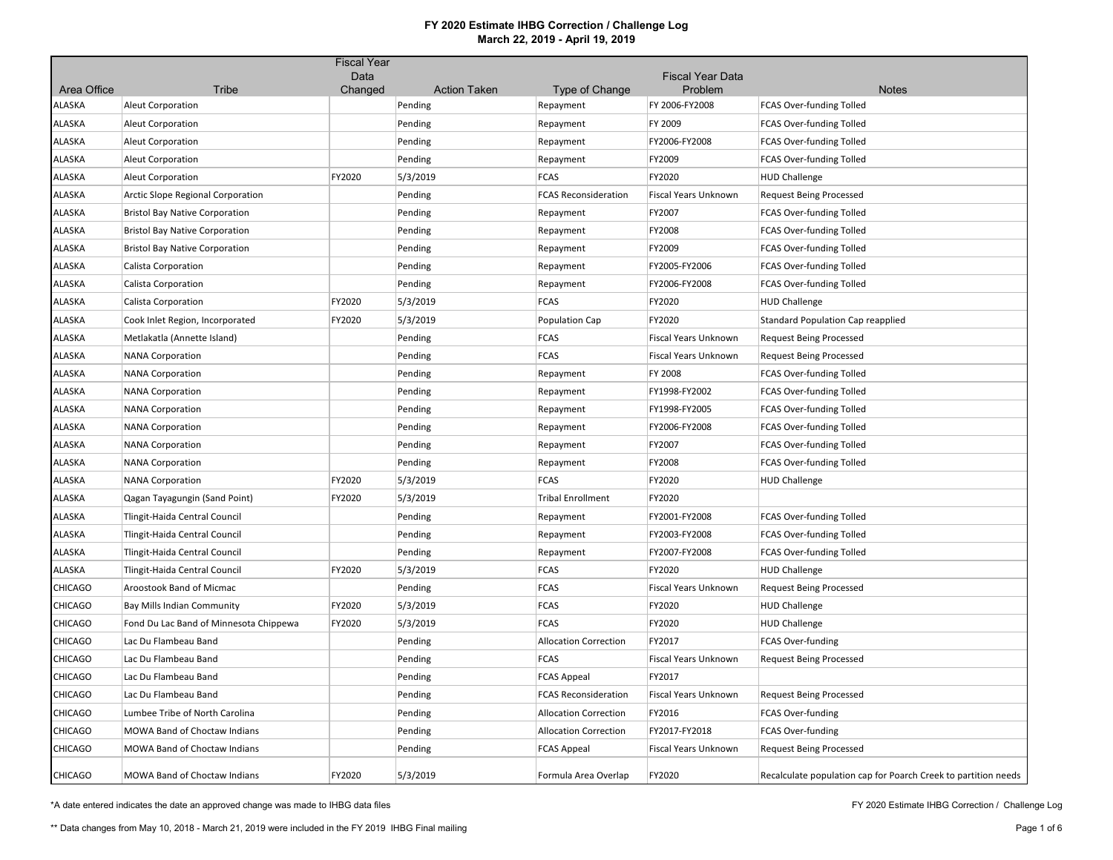|                |                                        | <b>Fiscal Year</b> |                                |                              |                             |                                                                |
|----------------|----------------------------------------|--------------------|--------------------------------|------------------------------|-----------------------------|----------------------------------------------------------------|
| Area Office    | <b>Tribe</b>                           | Data<br>Changed    |                                |                              | <b>Fiscal Year Data</b>     | <b>Notes</b>                                                   |
| ALASKA         | <b>Aleut Corporation</b>               |                    | <b>Action Taken</b><br>Pending | Type of Change<br>Repayment  | Problem<br>FY 2006-FY2008   | <b>FCAS Over-funding Tolled</b>                                |
| ALASKA         | Aleut Corporation                      |                    | Pending                        | Repayment                    | FY 2009                     | <b>FCAS Over-funding Tolled</b>                                |
| ALASKA         | Aleut Corporation                      |                    | Pending                        | Repayment                    | FY2006-FY2008               | FCAS Over-funding Tolled                                       |
| ALASKA         | <b>Aleut Corporation</b>               |                    | Pending                        | Repayment                    | FY2009                      | FCAS Over-funding Tolled                                       |
| ALASKA         | <b>Aleut Corporation</b>               | FY2020             | 5/3/2019                       | <b>FCAS</b>                  | FY2020                      | <b>HUD Challenge</b>                                           |
| ALASKA         | Arctic Slope Regional Corporation      |                    | Pending                        | <b>FCAS Reconsideration</b>  | <b>Fiscal Years Unknown</b> | <b>Request Being Processed</b>                                 |
| ALASKA         | <b>Bristol Bay Native Corporation</b>  |                    | Pending                        | Repayment                    | FY2007                      | <b>FCAS Over-funding Tolled</b>                                |
| ALASKA         | <b>Bristol Bay Native Corporation</b>  |                    | Pending                        | Repayment                    | FY2008                      | FCAS Over-funding Tolled                                       |
| ALASKA         | <b>Bristol Bay Native Corporation</b>  |                    | Pending                        | Repayment                    | FY2009                      | <b>FCAS Over-funding Tolled</b>                                |
| ALASKA         | Calista Corporation                    |                    | Pending                        | Repayment                    | FY2005-FY2006               | <b>FCAS Over-funding Tolled</b>                                |
| ALASKA         | Calista Corporation                    |                    | Pending                        | Repayment                    | FY2006-FY2008               | FCAS Over-funding Tolled                                       |
| ALASKA         | Calista Corporation                    | FY2020             | 5/3/2019                       | <b>FCAS</b>                  | FY2020                      | <b>HUD Challenge</b>                                           |
| ALASKA         | Cook Inlet Region, Incorporated        | FY2020             | 5/3/2019                       | Population Cap               | FY2020                      | Standard Population Cap reapplied                              |
| ALASKA         | Metlakatla (Annette Island)            |                    | Pending                        | <b>FCAS</b>                  | <b>Fiscal Years Unknown</b> | <b>Request Being Processed</b>                                 |
| ALASKA         | <b>NANA Corporation</b>                |                    | Pending                        | <b>FCAS</b>                  | Fiscal Years Unknown        | <b>Request Being Processed</b>                                 |
| ALASKA         | <b>NANA Corporation</b>                |                    | Pending                        | Repayment                    | FY 2008                     | <b>FCAS Over-funding Tolled</b>                                |
| ALASKA         | <b>NANA Corporation</b>                |                    | Pending                        | Repayment                    | FY1998-FY2002               | FCAS Over-funding Tolled                                       |
| ALASKA         | <b>NANA Corporation</b>                |                    | Pending                        | Repayment                    | FY1998-FY2005               | FCAS Over-funding Tolled                                       |
| ALASKA         | <b>NANA Corporation</b>                |                    | Pending                        | Repayment                    | FY2006-FY2008               | <b>FCAS Over-funding Tolled</b>                                |
| ALASKA         | <b>NANA Corporation</b>                |                    | Pending                        | Repayment                    | FY2007                      | FCAS Over-funding Tolled                                       |
| ALASKA         | <b>NANA Corporation</b>                |                    | Pending                        | Repayment                    | FY2008                      | <b>FCAS Over-funding Tolled</b>                                |
| ALASKA         | <b>NANA Corporation</b>                | FY2020             | 5/3/2019                       | <b>FCAS</b>                  | FY2020                      | <b>HUD Challenge</b>                                           |
| ALASKA         | Qagan Tayagungin (Sand Point)          | FY2020             | 5/3/2019                       | <b>Tribal Enrollment</b>     | FY2020                      |                                                                |
| ALASKA         | Tlingit-Haida Central Council          |                    | Pending                        | Repayment                    | FY2001-FY2008               | FCAS Over-funding Tolled                                       |
| ALASKA         | Tlingit-Haida Central Council          |                    | Pending                        | Repayment                    | FY2003-FY2008               | <b>FCAS Over-funding Tolled</b>                                |
| ALASKA         | Tlingit-Haida Central Council          |                    | Pending                        | Repayment                    | FY2007-FY2008               | FCAS Over-funding Tolled                                       |
| ALASKA         | Tlingit-Haida Central Council          | FY2020             | 5/3/2019                       | <b>FCAS</b>                  | FY2020                      | <b>HUD Challenge</b>                                           |
| <b>CHICAGO</b> | Aroostook Band of Micmac               |                    | Pending                        | FCAS                         | Fiscal Years Unknown        | <b>Request Being Processed</b>                                 |
| <b>CHICAGO</b> | Bay Mills Indian Community             | FY2020             | 5/3/2019                       | <b>FCAS</b>                  | FY2020                      | <b>HUD Challenge</b>                                           |
| CHICAGO        | Fond Du Lac Band of Minnesota Chippewa | FY2020             | 5/3/2019                       | <b>FCAS</b>                  | FY2020                      | <b>HUD Challenge</b>                                           |
| CHICAGO        | Lac Du Flambeau Band                   |                    | Pending                        | <b>Allocation Correction</b> | FY2017                      | <b>FCAS Over-funding</b>                                       |
| <b>CHICAGO</b> | Lac Du Flambeau Band                   |                    | Pending                        | <b>FCAS</b>                  | Fiscal Years Unknown        | <b>Request Being Processed</b>                                 |
| <b>CHICAGO</b> | Lac Du Flambeau Band                   |                    | Pending                        | <b>FCAS Appeal</b>           | FY2017                      |                                                                |
| <b>CHICAGO</b> | Lac Du Flambeau Band                   |                    | Pending                        | <b>FCAS Reconsideration</b>  | Fiscal Years Unknown        | <b>Request Being Processed</b>                                 |
| <b>CHICAGO</b> | Lumbee Tribe of North Carolina         |                    | Pending                        | <b>Allocation Correction</b> | FY2016                      | <b>FCAS Over-funding</b>                                       |
| CHICAGO        | MOWA Band of Choctaw Indians           |                    | Pending                        | <b>Allocation Correction</b> | FY2017-FY2018               | <b>FCAS Over-funding</b>                                       |
| <b>CHICAGO</b> | MOWA Band of Choctaw Indians           |                    | Pending                        | <b>FCAS Appeal</b>           | Fiscal Years Unknown        | <b>Request Being Processed</b>                                 |
| <b>CHICAGO</b> | MOWA Band of Choctaw Indians           | FY2020             | 5/3/2019                       | Formula Area Overlap         | FY2020                      | Recalculate population cap for Poarch Creek to partition needs |

\*A date entered indicates the date an approved change was made to IHBG data files

FY 2020 Estimate IHBG Correction / Challenge Log

\*\* Data changes from May 10, 2018 - March 21, 2019 were included in the FY 2019 IHBG Final mailing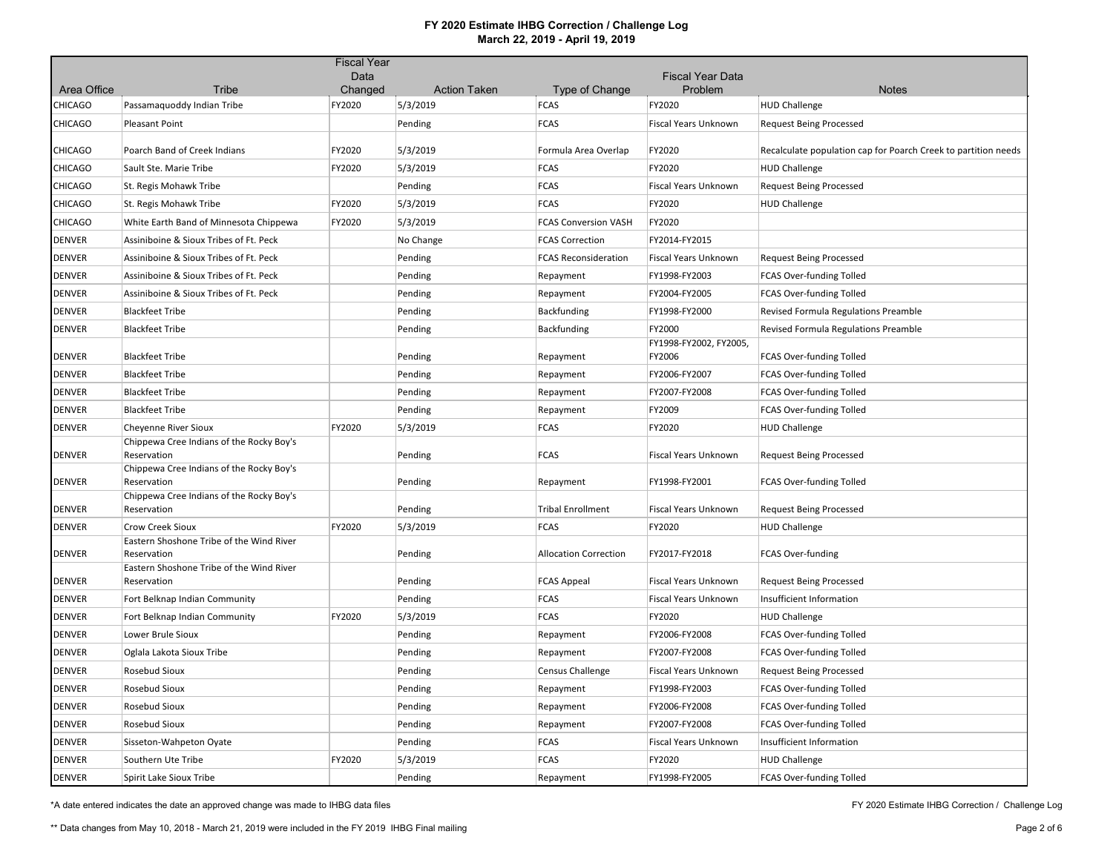|                        |                                                         | <b>Fiscal Year</b> |                                 |                               |                                  |                                                                |
|------------------------|---------------------------------------------------------|--------------------|---------------------------------|-------------------------------|----------------------------------|----------------------------------------------------------------|
|                        |                                                         | Data               |                                 |                               | <b>Fiscal Year Data</b>          |                                                                |
| Area Office<br>CHICAGO | Tribe<br>Passamaquoddy Indian Tribe                     | Changed<br>FY2020  | <b>Action Taken</b><br>5/3/2019 | Type of Change<br><b>FCAS</b> | Problem<br>FY2020                | <b>Notes</b><br><b>HUD Challenge</b>                           |
| <b>CHICAGO</b>         |                                                         |                    |                                 | <b>FCAS</b>                   |                                  |                                                                |
|                        | <b>Pleasant Point</b>                                   |                    | Pending                         |                               | Fiscal Years Unknown             | <b>Request Being Processed</b>                                 |
| <b>CHICAGO</b>         | Poarch Band of Creek Indians                            | FY2020             | 5/3/2019                        | Formula Area Overlap          | FY2020                           | Recalculate population cap for Poarch Creek to partition needs |
| CHICAGO                | Sault Ste. Marie Tribe                                  | FY2020             | 5/3/2019                        | <b>FCAS</b>                   | FY2020                           | <b>HUD Challenge</b>                                           |
| <b>CHICAGO</b>         | St. Regis Mohawk Tribe                                  |                    | Pending                         | <b>FCAS</b>                   | Fiscal Years Unknown             | <b>Request Being Processed</b>                                 |
| <b>CHICAGO</b>         | St. Regis Mohawk Tribe                                  | FY2020             | 5/3/2019                        | <b>FCAS</b>                   | FY2020                           | <b>HUD Challenge</b>                                           |
| CHICAGO                | White Earth Band of Minnesota Chippewa                  | FY2020             | 5/3/2019                        | <b>FCAS Conversion VASH</b>   | FY2020                           |                                                                |
| <b>DENVER</b>          | Assiniboine & Sioux Tribes of Ft. Peck                  |                    | No Change                       | <b>FCAS Correction</b>        | FY2014-FY2015                    |                                                                |
| <b>DENVER</b>          | Assiniboine & Sioux Tribes of Ft. Peck                  |                    | Pending                         | <b>FCAS Reconsideration</b>   | <b>Fiscal Years Unknown</b>      | <b>Request Being Processed</b>                                 |
| <b>DENVER</b>          | Assiniboine & Sioux Tribes of Ft. Peck                  |                    | Pending                         | Repayment                     | FY1998-FY2003                    | FCAS Over-funding Tolled                                       |
| <b>DENVER</b>          | Assiniboine & Sioux Tribes of Ft. Peck                  |                    | Pending                         | Repayment                     | FY2004-FY2005                    | FCAS Over-funding Tolled                                       |
| <b>DENVER</b>          | <b>Blackfeet Tribe</b>                                  |                    | Pending                         | Backfunding                   | FY1998-FY2000                    | Revised Formula Regulations Preamble                           |
| <b>DENVER</b>          | <b>Blackfeet Tribe</b>                                  |                    | Pending                         | Backfunding                   | FY2000                           | Revised Formula Regulations Preamble                           |
| <b>DENVER</b>          | <b>Blackfeet Tribe</b>                                  |                    | Pending                         | Repayment                     | FY1998-FY2002, FY2005,<br>FY2006 | <b>FCAS Over-funding Tolled</b>                                |
| <b>DENVER</b>          | <b>Blackfeet Tribe</b>                                  |                    | Pending                         | Repayment                     | FY2006-FY2007                    | <b>FCAS Over-funding Tolled</b>                                |
| <b>DENVER</b>          | <b>Blackfeet Tribe</b>                                  |                    | Pending                         | Repayment                     | FY2007-FY2008                    | FCAS Over-funding Tolled                                       |
| <b>DENVER</b>          | <b>Blackfeet Tribe</b>                                  |                    | Pending                         | Repayment                     | FY2009                           | FCAS Over-funding Tolled                                       |
| <b>DENVER</b>          | <b>Chevenne River Sioux</b>                             | FY2020             | 5/3/2019                        | <b>FCAS</b>                   | FY2020                           | <b>HUD Challenge</b>                                           |
| <b>DENVER</b>          | Chippewa Cree Indians of the Rocky Boy's<br>Reservation |                    | Pending                         | <b>FCAS</b>                   | Fiscal Years Unknown             | <b>Request Being Processed</b>                                 |
| <b>DENVER</b>          | Chippewa Cree Indians of the Rocky Boy's<br>Reservation |                    | Pending                         | Repayment                     | FY1998-FY2001                    | <b>FCAS Over-funding Tolled</b>                                |
| DENVER                 | Chippewa Cree Indians of the Rocky Boy's<br>Reservation |                    | Pending                         | <b>Tribal Enrollment</b>      | <b>Fiscal Years Unknown</b>      | <b>Request Being Processed</b>                                 |
| <b>DENVER</b>          | Crow Creek Sioux                                        | FY2020             | 5/3/2019                        | <b>FCAS</b>                   | FY2020                           | <b>HUD Challenge</b>                                           |
| <b>DENVER</b>          | Eastern Shoshone Tribe of the Wind River<br>Reservation |                    | Pending                         | <b>Allocation Correction</b>  | FY2017-FY2018                    | <b>FCAS Over-funding</b>                                       |
| <b>DENVER</b>          | Eastern Shoshone Tribe of the Wind River<br>Reservation |                    | Pending                         | <b>FCAS Appeal</b>            | Fiscal Years Unknown             | <b>Request Being Processed</b>                                 |
| <b>DENVER</b>          | Fort Belknap Indian Community                           |                    | Pending                         | <b>FCAS</b>                   | Fiscal Years Unknown             | Insufficient Information                                       |
| <b>DENVER</b>          | Fort Belknap Indian Community                           | FY2020             | 5/3/2019                        | <b>FCAS</b>                   | FY2020                           | <b>HUD Challenge</b>                                           |
| <b>DENVER</b>          | Lower Brule Sioux                                       |                    | Pending                         | Repayment                     | FY2006-FY2008                    | FCAS Over-funding Tolled                                       |
| DENVER                 | Oglala Lakota Sioux Tribe                               |                    | Pending                         | Repayment                     | FY2007-FY2008                    | FCAS Over-funding Tolled                                       |
| <b>DENVER</b>          | Rosebud Sioux                                           |                    | Pending                         | <b>Census Challenge</b>       | Fiscal Years Unknown             | <b>Request Being Processed</b>                                 |
| <b>DENVER</b>          | <b>Rosebud Sioux</b>                                    |                    | Pending                         | Repayment                     | FY1998-FY2003                    | <b>FCAS Over-funding Tolled</b>                                |
| <b>DENVER</b>          | Rosebud Sioux                                           |                    | Pending                         | Repayment                     | FY2006-FY2008                    | FCAS Over-funding Tolled                                       |
| <b>DENVER</b>          | Rosebud Sioux                                           |                    | Pending                         | Repayment                     | FY2007-FY2008                    | <b>FCAS Over-funding Tolled</b>                                |
| <b>DENVER</b>          | Sisseton-Wahpeton Oyate                                 |                    | Pending                         | <b>FCAS</b>                   | Fiscal Years Unknown             | Insufficient Information                                       |
| <b>DENVER</b>          | Southern Ute Tribe                                      | FY2020             | 5/3/2019                        | <b>FCAS</b>                   | FY2020                           | <b>HUD Challenge</b>                                           |
| <b>DENVER</b>          | Spirit Lake Sioux Tribe                                 |                    | Pending                         | Repayment                     | FY1998-FY2005                    | <b>FCAS Over-funding Tolled</b>                                |

\*A date entered indicates the date an approved change was made to IHBG data files

FY 2020 Estimate IHBG Correction / Challenge Log

\*\* Data changes from May 10, 2018 - March 21, 2019 were included in the FY 2019 IHBG Final mailing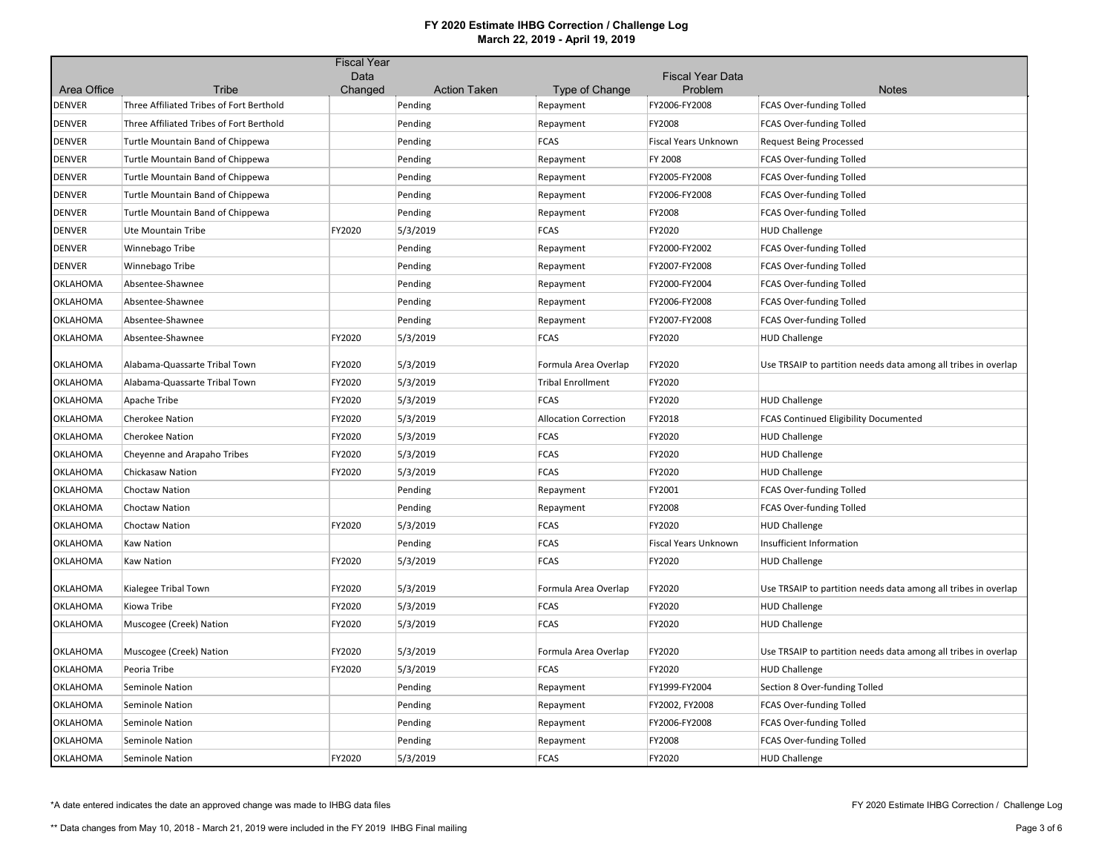|                 |                                          | <b>Fiscal Year</b><br>Data |                     |                              | <b>Fiscal Year Data</b>     |                                                                |
|-----------------|------------------------------------------|----------------------------|---------------------|------------------------------|-----------------------------|----------------------------------------------------------------|
| Area Office     | Tribe                                    | Changed                    | <b>Action Taken</b> | Type of Change               | Problem                     | <b>Notes</b>                                                   |
| <b>DENVER</b>   | Three Affiliated Tribes of Fort Berthold |                            | Pending             | Repayment                    | FY2006-FY2008               | FCAS Over-funding Tolled                                       |
| <b>DENVER</b>   | Three Affiliated Tribes of Fort Berthold |                            | Pending             | Repayment                    | FY2008                      | FCAS Over-funding Tolled                                       |
| <b>DENVER</b>   | Turtle Mountain Band of Chippewa         |                            | Pending             | <b>FCAS</b>                  | <b>Fiscal Years Unknown</b> | <b>Request Being Processed</b>                                 |
| <b>DENVER</b>   | Turtle Mountain Band of Chippewa         |                            | Pending             | Repayment                    | FY 2008                     | FCAS Over-funding Tolled                                       |
| <b>DENVER</b>   | Turtle Mountain Band of Chippewa         |                            | Pending             | Repayment                    | FY2005-FY2008               | FCAS Over-funding Tolled                                       |
| <b>DENVER</b>   | Turtle Mountain Band of Chippewa         |                            | Pending             | Repayment                    | FY2006-FY2008               | FCAS Over-funding Tolled                                       |
| <b>DENVER</b>   | Turtle Mountain Band of Chippewa         |                            | Pending             | Repayment                    | FY2008                      | FCAS Over-funding Tolled                                       |
| <b>DENVER</b>   | Ute Mountain Tribe                       | FY2020                     | 5/3/2019            | <b>FCAS</b>                  | FY2020                      | <b>HUD Challenge</b>                                           |
| <b>DENVER</b>   | Winnebago Tribe                          |                            | Pending             | Repayment                    | FY2000-FY2002               | FCAS Over-funding Tolled                                       |
| <b>DENVER</b>   | Winnebago Tribe                          |                            | Pending             | Repayment                    | FY2007-FY2008               | FCAS Over-funding Tolled                                       |
| OKLAHOMA        | Absentee-Shawnee                         |                            | Pending             | Repayment                    | FY2000-FY2004               | FCAS Over-funding Tolled                                       |
| OKLAHOMA        | Absentee-Shawnee                         |                            | Pending             | Repayment                    | FY2006-FY2008               | <b>FCAS Over-funding Tolled</b>                                |
| OKLAHOMA        | Absentee-Shawnee                         |                            | Pending             | Repayment                    | FY2007-FY2008               | FCAS Over-funding Tolled                                       |
| <b>OKLAHOMA</b> | Absentee-Shawnee                         | FY2020                     | 5/3/2019            | <b>FCAS</b>                  | FY2020                      | <b>HUD Challenge</b>                                           |
| OKLAHOMA        | Alabama-Quassarte Tribal Town            | FY2020                     | 5/3/2019            | Formula Area Overlap         | FY2020                      | Use TRSAIP to partition needs data among all tribes in overlap |
| OKLAHOMA        | Alabama-Quassarte Tribal Town            | FY2020                     | 5/3/2019            | <b>Tribal Enrollment</b>     | FY2020                      |                                                                |
| OKLAHOMA        | Apache Tribe                             | FY2020                     | 5/3/2019            | <b>FCAS</b>                  | FY2020                      | <b>HUD Challenge</b>                                           |
| OKLAHOMA        | <b>Cherokee Nation</b>                   | FY2020                     | 5/3/2019            | <b>Allocation Correction</b> | FY2018                      | <b>FCAS Continued Eligibility Documented</b>                   |
| OKLAHOMA        | <b>Cherokee Nation</b>                   | FY2020                     | 5/3/2019            | <b>FCAS</b>                  | FY2020                      | <b>HUD Challenge</b>                                           |
| OKLAHOMA        | Cheyenne and Arapaho Tribes              | FY2020                     | 5/3/2019            | <b>FCAS</b>                  | FY2020                      | <b>HUD Challenge</b>                                           |
| OKLAHOMA        | Chickasaw Nation                         | FY2020                     | 5/3/2019            | <b>FCAS</b>                  | FY2020                      | <b>HUD Challenge</b>                                           |
| OKLAHOMA        | Choctaw Nation                           |                            | Pending             | Repayment                    | FY2001                      | <b>FCAS Over-funding Tolled</b>                                |
| <b>OKLAHOMA</b> | <b>Choctaw Nation</b>                    |                            | Pending             | Repayment                    | FY2008                      | FCAS Over-funding Tolled                                       |
| OKLAHOMA        | Choctaw Nation                           | FY2020                     | 5/3/2019            | <b>FCAS</b>                  | FY2020                      | <b>HUD Challenge</b>                                           |
| OKLAHOMA        | <b>Kaw Nation</b>                        |                            | Pending             | <b>FCAS</b>                  | <b>Fiscal Years Unknown</b> | Insufficient Information                                       |
| OKLAHOMA        | <b>Kaw Nation</b>                        | FY2020                     | 5/3/2019            | <b>FCAS</b>                  | FY2020                      | <b>HUD Challenge</b>                                           |
| <b>OKLAHOMA</b> | Kialegee Tribal Town                     | FY2020                     | 5/3/2019            | Formula Area Overlap         | FY2020                      | Use TRSAIP to partition needs data among all tribes in overlap |
| <b>OKLAHOMA</b> | Kiowa Tribe                              | FY2020                     | 5/3/2019            | <b>FCAS</b>                  | FY2020                      | <b>HUD Challenge</b>                                           |
| OKLAHOMA        | Muscogee (Creek) Nation                  | FY2020                     | 5/3/2019            | <b>FCAS</b>                  | FY2020                      | <b>HUD Challenge</b>                                           |
| OKLAHOMA        | Muscogee (Creek) Nation                  | FY2020                     | 5/3/2019            | Formula Area Overlap         | FY2020                      | Use TRSAIP to partition needs data among all tribes in overlap |
| OKLAHOMA        | Peoria Tribe                             | FY2020                     | 5/3/2019            | <b>FCAS</b>                  | FY2020                      | <b>HUD Challenge</b>                                           |
| OKLAHOMA        | <b>Seminole Nation</b>                   |                            | Pending             | Repayment                    | FY1999-FY2004               | Section 8 Over-funding Tolled                                  |
| OKLAHOMA        | Seminole Nation                          |                            | Pending             | Repayment                    | FY2002, FY2008              | <b>FCAS Over-funding Tolled</b>                                |
| OKLAHOMA        | Seminole Nation                          |                            | Pending             | Repayment                    | FY2006-FY2008               | <b>FCAS Over-funding Tolled</b>                                |
| OKLAHOMA        | <b>Seminole Nation</b>                   |                            | Pending             | Repayment                    | FY2008                      | FCAS Over-funding Tolled                                       |
| <b>OKLAHOMA</b> | Seminole Nation                          | FY2020                     | 5/3/2019            | <b>FCAS</b>                  | FY2020                      | <b>HUD Challenge</b>                                           |

\*A date entered indicates the date an approved change was made to IHBG data files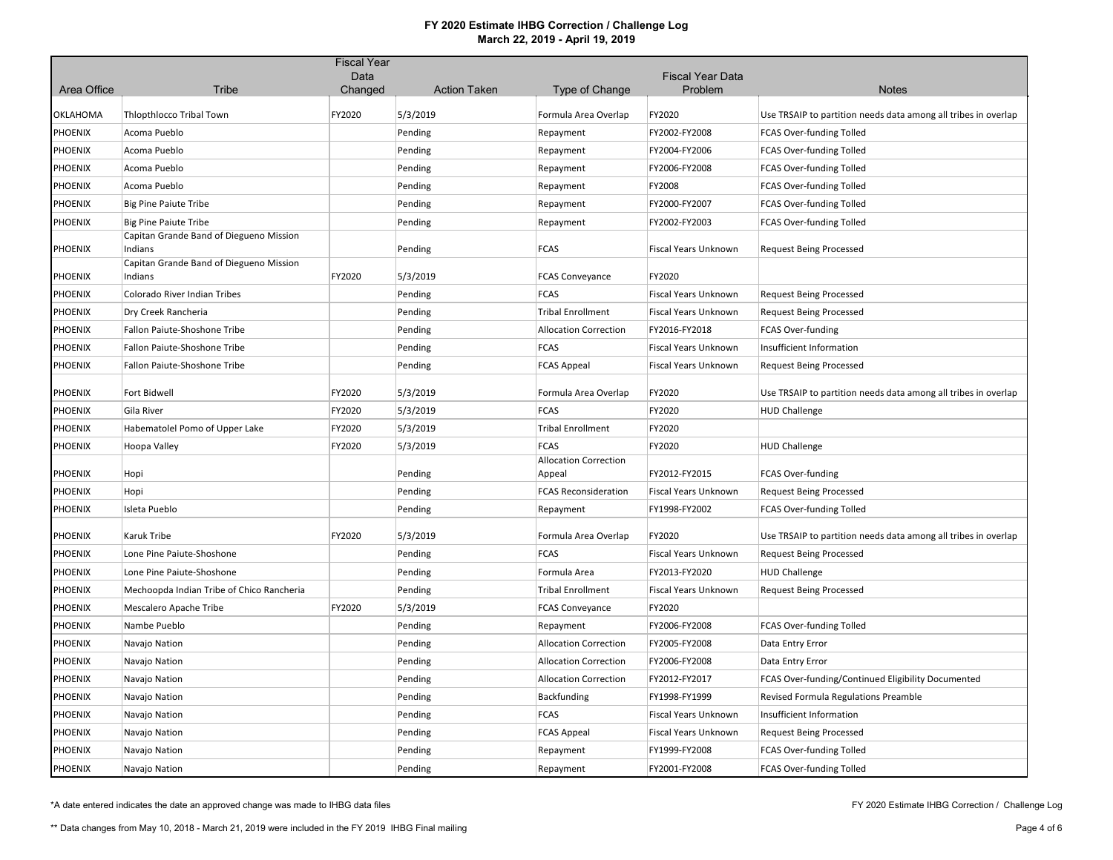|                |                                                    | <b>Fiscal Year</b> |                     |                                        |                                    |                                                                |
|----------------|----------------------------------------------------|--------------------|---------------------|----------------------------------------|------------------------------------|----------------------------------------------------------------|
| Area Office    | Tribe                                              | Data<br>Changed    | <b>Action Taken</b> | Type of Change                         | <b>Fiscal Year Data</b><br>Problem | <b>Notes</b>                                                   |
|                |                                                    |                    |                     |                                        |                                    |                                                                |
| OKLAHOMA       | Thlopthlocco Tribal Town                           | FY2020             | 5/3/2019            | Formula Area Overlap                   | FY2020                             | Use TRSAIP to partition needs data among all tribes in overlap |
| PHOENIX        | Acoma Pueblo                                       |                    | Pending             | Repayment                              | FY2002-FY2008                      | <b>FCAS Over-funding Tolled</b>                                |
| PHOENIX        | Acoma Pueblo                                       |                    | Pending             | Repayment                              | FY2004-FY2006                      | <b>FCAS Over-funding Tolled</b>                                |
| <b>PHOENIX</b> | Acoma Pueblo                                       |                    | Pending             | Repayment                              | FY2006-FY2008                      | <b>FCAS Over-funding Tolled</b>                                |
| PHOENIX        | Acoma Pueblo                                       |                    | Pending             | Repayment                              | FY2008                             | FCAS Over-funding Tolled                                       |
| <b>PHOENIX</b> | <b>Big Pine Paiute Tribe</b>                       |                    | Pending             | Repayment                              | FY2000-FY2007                      | FCAS Over-funding Tolled                                       |
| <b>PHOENIX</b> | <b>Big Pine Paiute Tribe</b>                       |                    | Pending             | Repayment                              | FY2002-FY2003                      | FCAS Over-funding Tolled                                       |
| <b>PHOENIX</b> | Capitan Grande Band of Diegueno Mission<br>Indians |                    | Pending             | <b>FCAS</b>                            | Fiscal Years Unknown               | <b>Request Being Processed</b>                                 |
| <b>PHOENIX</b> | Capitan Grande Band of Diegueno Mission<br>Indians | FY2020             | 5/3/2019            | <b>FCAS Conveyance</b>                 | FY2020                             |                                                                |
| <b>PHOENIX</b> | Colorado River Indian Tribes                       |                    | Pending             | <b>FCAS</b>                            | Fiscal Years Unknown               | <b>Request Being Processed</b>                                 |
| PHOENIX        | Dry Creek Rancheria                                |                    | Pending             | <b>Tribal Enrollment</b>               | Fiscal Years Unknown               | <b>Request Being Processed</b>                                 |
| <b>PHOENIX</b> | Fallon Paiute-Shoshone Tribe                       |                    | Pending             | <b>Allocation Correction</b>           | FY2016-FY2018                      | <b>FCAS Over-funding</b>                                       |
| <b>PHOENIX</b> | Fallon Paiute-Shoshone Tribe                       |                    | Pending             | <b>FCAS</b>                            | Fiscal Years Unknown               | Insufficient Information                                       |
| PHOENIX        | Fallon Paiute-Shoshone Tribe                       |                    | Pending             | <b>FCAS Appeal</b>                     | Fiscal Years Unknown               | <b>Request Being Processed</b>                                 |
| PHOENIX        | Fort Bidwell                                       | FY2020             | 5/3/2019            | Formula Area Overlap                   | FY2020                             | Use TRSAIP to partition needs data among all tribes in overlap |
| PHOENIX        | Gila River                                         | FY2020             | 5/3/2019            | <b>FCAS</b>                            | FY2020                             | <b>HUD Challenge</b>                                           |
| <b>PHOENIX</b> | Habematolel Pomo of Upper Lake                     | FY2020             | 5/3/2019            | <b>Tribal Enrollment</b>               | FY2020                             |                                                                |
| PHOENIX        | Hoopa Valley                                       | FY2020             | 5/3/2019            | <b>FCAS</b>                            | FY2020                             | <b>HUD Challenge</b>                                           |
| PHOENIX        | Hopi                                               |                    | Pending             | <b>Allocation Correction</b><br>Appeal | FY2012-FY2015                      | <b>FCAS Over-funding</b>                                       |
| <b>PHOENIX</b> | Hopi                                               |                    | Pending             | <b>FCAS Reconsideration</b>            | Fiscal Years Unknown               | <b>Request Being Processed</b>                                 |
| PHOENIX        | Isleta Pueblo                                      |                    | Pending             | Repayment                              | FY1998-FY2002                      | FCAS Over-funding Tolled                                       |
| <b>PHOENIX</b> | Karuk Tribe                                        | FY2020             | 5/3/2019            | Formula Area Overlap                   | FY2020                             | Use TRSAIP to partition needs data among all tribes in overlap |
| <b>PHOENIX</b> | Lone Pine Paiute-Shoshone                          |                    | Pending             | <b>FCAS</b>                            | Fiscal Years Unknown               | <b>Request Being Processed</b>                                 |
| <b>PHOENIX</b> | Lone Pine Paiute-Shoshone                          |                    | Pending             | Formula Area                           | FY2013-FY2020                      | <b>HUD Challenge</b>                                           |
| PHOENIX        | Mechoopda Indian Tribe of Chico Rancheria          |                    | Pending             | <b>Tribal Enrollment</b>               | Fiscal Years Unknown               | <b>Request Being Processed</b>                                 |
| PHOENIX        | Mescalero Apache Tribe                             | FY2020             | 5/3/2019            | <b>FCAS Conveyance</b>                 | FY2020                             |                                                                |
| <b>PHOENIX</b> | Nambe Pueblo                                       |                    | Pending             | Repayment                              | FY2006-FY2008                      | FCAS Over-funding Tolled                                       |
| PHOENIX        | Navajo Nation                                      |                    | Pending             | <b>Allocation Correction</b>           | FY2005-FY2008                      | Data Entry Error                                               |
| PHOENIX        | Navajo Nation                                      |                    | Pending             | <b>Allocation Correction</b>           | FY2006-FY2008                      | Data Entry Error                                               |
| <b>PHOENIX</b> | Navajo Nation                                      |                    | Pending             | <b>Allocation Correction</b>           | FY2012-FY2017                      | FCAS Over-funding/Continued Eligibility Documented             |
| <b>PHOENIX</b> | Navajo Nation                                      |                    | Pending             | Backfunding                            | FY1998-FY1999                      | Revised Formula Regulations Preamble                           |
| PHOENIX        | Navajo Nation                                      |                    | Pending             | <b>FCAS</b>                            | <b>Fiscal Years Unknown</b>        | Insufficient Information                                       |
| <b>PHOENIX</b> | Navajo Nation                                      |                    | Pending             | <b>FCAS Appeal</b>                     | Fiscal Years Unknown               | <b>Request Being Processed</b>                                 |
| <b>PHOENIX</b> | Navajo Nation                                      |                    | Pending             | Repayment                              | FY1999-FY2008                      | FCAS Over-funding Tolled                                       |
| <b>PHOENIX</b> | Navajo Nation                                      |                    | Pending             | Repayment                              | FY2001-FY2008                      | <b>FCAS Over-funding Tolled</b>                                |

\*A date entered indicates the date an approved change was made to IHBG data files

FY 2020 Estimate IHBG Correction / Challenge Log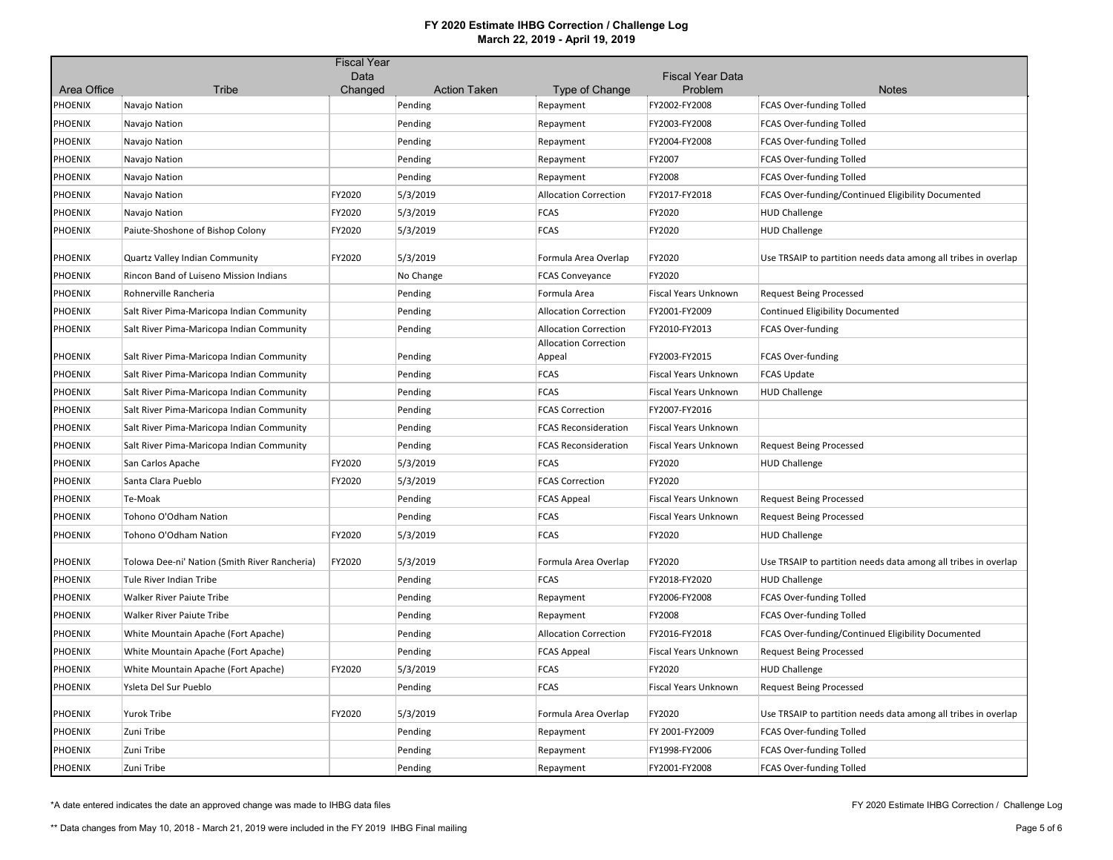|                |                                               | <b>Fiscal Year</b> |                     |                                        |                                    |                                                                |
|----------------|-----------------------------------------------|--------------------|---------------------|----------------------------------------|------------------------------------|----------------------------------------------------------------|
| Area Office    | Tribe                                         | Data<br>Changed    | <b>Action Taken</b> | Type of Change                         | <b>Fiscal Year Data</b><br>Problem | <b>Notes</b>                                                   |
| PHOENIX        | Navajo Nation                                 |                    | Pending             | Repayment                              | FY2002-FY2008                      | <b>FCAS Over-funding Tolled</b>                                |
| <b>PHOENIX</b> | Navajo Nation                                 |                    | Pending             | Repayment                              | FY2003-FY2008                      | FCAS Over-funding Tolled                                       |
| PHOENIX        | Navajo Nation                                 |                    | Pending             | Repayment                              | FY2004-FY2008                      | <b>FCAS Over-funding Tolled</b>                                |
| <b>PHOENIX</b> | Navajo Nation                                 |                    | Pending             | Repayment                              | FY2007                             | FCAS Over-funding Tolled                                       |
| <b>PHOENIX</b> | Navajo Nation                                 |                    | Pending             | Repayment                              | FY2008                             | FCAS Over-funding Tolled                                       |
| <b>PHOENIX</b> | Navajo Nation                                 | FY2020             | 5/3/2019            | <b>Allocation Correction</b>           | FY2017-FY2018                      | FCAS Over-funding/Continued Eligibility Documented             |
| PHOENIX        | Navajo Nation                                 | FY2020             | 5/3/2019            | <b>FCAS</b>                            | FY2020                             | <b>HUD Challenge</b>                                           |
| <b>PHOENIX</b> | Paiute-Shoshone of Bishop Colony              | FY2020             | 5/3/2019            | <b>FCAS</b>                            | FY2020                             | <b>HUD Challenge</b>                                           |
|                |                                               |                    |                     |                                        |                                    |                                                                |
| PHOENIX        | Quartz Valley Indian Community                | FY2020             | 5/3/2019            | Formula Area Overlap                   | FY2020                             | Use TRSAIP to partition needs data among all tribes in overlap |
| PHOENIX        | Rincon Band of Luiseno Mission Indians        |                    | No Change           | <b>FCAS Conveyance</b>                 | FY2020                             |                                                                |
| <b>PHOENIX</b> | Rohnerville Rancheria                         |                    | Pending             | Formula Area                           | Fiscal Years Unknown               | <b>Request Being Processed</b>                                 |
| <b>PHOENIX</b> | Salt River Pima-Maricopa Indian Community     |                    | Pending             | <b>Allocation Correction</b>           | FY2001-FY2009                      | <b>Continued Eligibility Documented</b>                        |
| <b>PHOENIX</b> | Salt River Pima-Maricopa Indian Community     |                    | Pending             | <b>Allocation Correction</b>           | FY2010-FY2013                      | FCAS Over-funding                                              |
| <b>PHOENIX</b> | Salt River Pima-Maricopa Indian Community     |                    | Pending             | <b>Allocation Correction</b><br>Appeal | FY2003-FY2015                      | <b>FCAS Over-funding</b>                                       |
| PHOENIX        | Salt River Pima-Maricopa Indian Community     |                    | Pending             | <b>FCAS</b>                            | Fiscal Years Unknown               | <b>FCAS Update</b>                                             |
| PHOENIX        | Salt River Pima-Maricopa Indian Community     |                    | Pending             | <b>FCAS</b>                            | Fiscal Years Unknown               | <b>HUD Challenge</b>                                           |
| <b>PHOENIX</b> | Salt River Pima-Maricopa Indian Community     |                    | Pending             | <b>FCAS Correction</b>                 | FY2007-FY2016                      |                                                                |
| <b>PHOENIX</b> | Salt River Pima-Maricopa Indian Community     |                    | Pending             | <b>FCAS Reconsideration</b>            | Fiscal Years Unknown               |                                                                |
| <b>PHOENIX</b> | Salt River Pima-Maricopa Indian Community     |                    | Pending             | <b>FCAS Reconsideration</b>            | Fiscal Years Unknown               | <b>Request Being Processed</b>                                 |
| <b>PHOENIX</b> | San Carlos Apache                             | FY2020             | 5/3/2019            | <b>FCAS</b>                            | FY2020                             | <b>HUD Challenge</b>                                           |
| <b>PHOENIX</b> | Santa Clara Pueblo                            | FY2020             | 5/3/2019            | <b>FCAS Correction</b>                 | FY2020                             |                                                                |
| PHOENIX        | Te-Moak                                       |                    | Pending             | <b>FCAS Appeal</b>                     | Fiscal Years Unknown               | <b>Request Being Processed</b>                                 |
| <b>PHOENIX</b> | Tohono O'Odham Nation                         |                    | Pending             | <b>FCAS</b>                            | Fiscal Years Unknown               | <b>Request Being Processed</b>                                 |
| <b>PHOENIX</b> | Tohono O'Odham Nation                         | FY2020             | 5/3/2019            | <b>FCAS</b>                            | FY2020                             | <b>HUD Challenge</b>                                           |
| <b>PHOENIX</b> | Tolowa Dee-ni' Nation (Smith River Rancheria) | FY2020             | 5/3/2019            | Formula Area Overlap                   | FY2020                             | Use TRSAIP to partition needs data among all tribes in overlap |
| <b>PHOENIX</b> | Tule River Indian Tribe                       |                    | Pending             | <b>FCAS</b>                            | FY2018-FY2020                      | <b>HUD Challenge</b>                                           |
| <b>PHOENIX</b> | Walker River Paiute Tribe                     |                    | Pending             | Repayment                              | FY2006-FY2008                      | FCAS Over-funding Tolled                                       |
| PHOENIX        | Walker River Paiute Tribe                     |                    | Pending             | Repayment                              | FY2008                             | FCAS Over-funding Tolled                                       |
| PHOENIX        | White Mountain Apache (Fort Apache)           |                    | Pending             | <b>Allocation Correction</b>           | FY2016-FY2018                      | FCAS Over-funding/Continued Eligibility Documented             |
| <b>PHOENIX</b> | White Mountain Apache (Fort Apache)           |                    | Pending             | <b>FCAS Appeal</b>                     | Fiscal Years Unknown               | <b>Request Being Processed</b>                                 |
| <b>PHOENIX</b> | White Mountain Apache (Fort Apache)           | FY2020             | 5/3/2019            | <b>FCAS</b>                            | FY2020                             | <b>HUD Challenge</b>                                           |
| <b>PHOENIX</b> | Ysleta Del Sur Pueblo                         |                    | Pending             | <b>FCAS</b>                            | Fiscal Years Unknown               | <b>Request Being Processed</b>                                 |
| <b>PHOENIX</b> | Yurok Tribe                                   | FY2020             | 5/3/2019            | Formula Area Overlap                   | FY2020                             | Use TRSAIP to partition needs data among all tribes in overlap |
| PHOENIX        | Zuni Tribe                                    |                    | Pending             | Repayment                              | FY 2001-FY2009                     | <b>FCAS Over-funding Tolled</b>                                |
| <b>PHOENIX</b> | Zuni Tribe                                    |                    | Pending             | Repayment                              | FY1998-FY2006                      | <b>FCAS Over-funding Tolled</b>                                |
| PHOENIX        | Zuni Tribe                                    |                    | Pending             | Repayment                              | FY2001-FY2008                      | <b>FCAS Over-funding Tolled</b>                                |

\*A date entered indicates the date an approved change was made to IHBG data files

FY 2020 Estimate IHBG Correction / Challenge Log